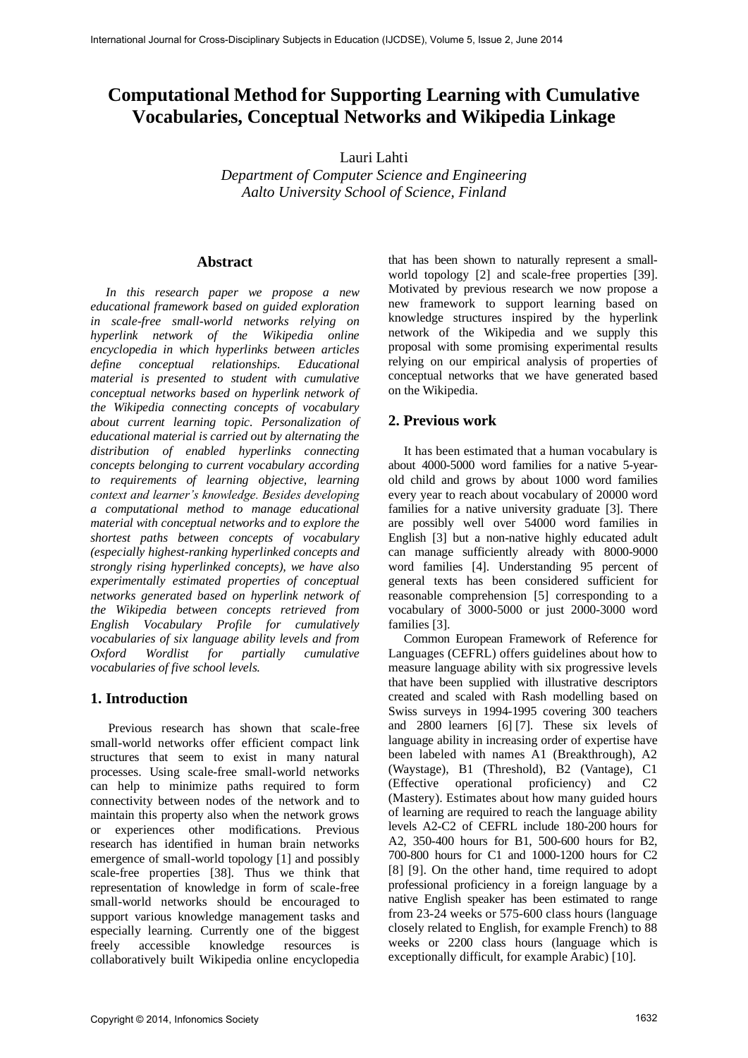# **Computational Method for Supporting Learning with Cumulative Vocabularies, Conceptual Networks and Wikipedia Linkage**

Lauri Lahti

*Department of Computer Science and Engineering Aalto University School of Science, Finland* 

### **Abstract**

*In this research paper we propose a new educational framework based on guided exploration in scale-free small-world networks relying on hyperlink network of the Wikipedia online encyclopedia in which hyperlinks between articles define conceptual relationships. Educational material is presented to student with cumulative conceptual networks based on hyperlink network of the Wikipedia connecting concepts of vocabulary about current learning topic. Personalization of educational material is carried out by alternating the distribution of enabled hyperlinks connecting concepts belonging to current vocabulary according to requirements of learning objective, learning context and learner's knowledge. Besides developing a computational method to manage educational material with conceptual networks and to explore the shortest paths between concepts of vocabulary (especially highest-ranking hyperlinked concepts and strongly rising hyperlinked concepts), we have also experimentally estimated properties of conceptual networks generated based on hyperlink network of the Wikipedia between concepts retrieved from English Vocabulary Profile for cumulatively vocabularies of six language ability levels and from Oxford Wordlist for partially cumulative vocabularies of five school levels.* 

### **1. Introduction**

Previous research has shown that scale-free small-world networks offer efficient compact link structures that seem to exist in many natural processes. Using scale-free small-world networks can help to minimize paths required to form connectivity between nodes of the network and to maintain this property also when the network grows or experiences other modifications. Previous research has identified in human brain networks emergence of small-world topology [1] and possibly scale-free properties [38]. Thus we think that representation of knowledge in form of scale-free small-world networks should be encouraged to support various knowledge management tasks and especially learning. Currently one of the biggest freely accessible knowledge resources is collaboratively built Wikipedia online encyclopedia

that has been shown to naturally represent a smallworld topology [2] and scale-free properties [39]. Motivated by previous research we now propose a new framework to support learning based on knowledge structures inspired by the hyperlink network of the Wikipedia and we supply this proposal with some promising experimental results relying on our empirical analysis of properties of conceptual networks that we have generated based on the Wikipedia.

#### **2. Previous work**

It has been estimated that a human vocabulary is about 4000-5000 word families for a native 5-yearold child and grows by about 1000 word families every year to reach about vocabulary of 20000 word families for a native university graduate [3]. There are possibly well over 54000 word families in English [3] but a non-native highly educated adult can manage sufficiently already with 8000-9000 word families [4]. Understanding 95 percent of general texts has been considered sufficient for reasonable comprehension [5] corresponding to a vocabulary of 3000-5000 or just 2000-3000 word families [3].

Common European Framework of Reference for Languages (CEFRL) offers guidelines about how to measure language ability with six progressive levels that have been supplied with illustrative descriptors created and scaled with Rash modelling based on Swiss surveys in 1994-1995 covering 300 teachers and 2800 learners [6] [7]. These six levels of language ability in increasing order of expertise have been labeled with names A1 (Breakthrough), A2 (Waystage), B1 (Threshold), B2 (Vantage), C1 (Effective operational proficiency) and C2 (Mastery). Estimates about how many guided hours of learning are required to reach the language ability levels A2-C2 of CEFRL include 180-200 hours for A2, 350-400 hours for B1, 500-600 hours for B2, 700-800 hours for C1 and 1000-1200 hours for C2 [8] [9]. On the other hand, time required to adopt professional proficiency in a foreign language by a native English speaker has been estimated to range from 23-24 weeks or 575-600 class hours (language closely related to English, for example French) to 88 weeks or 2200 class hours (language which is exceptionally difficult, for example Arabic) [10].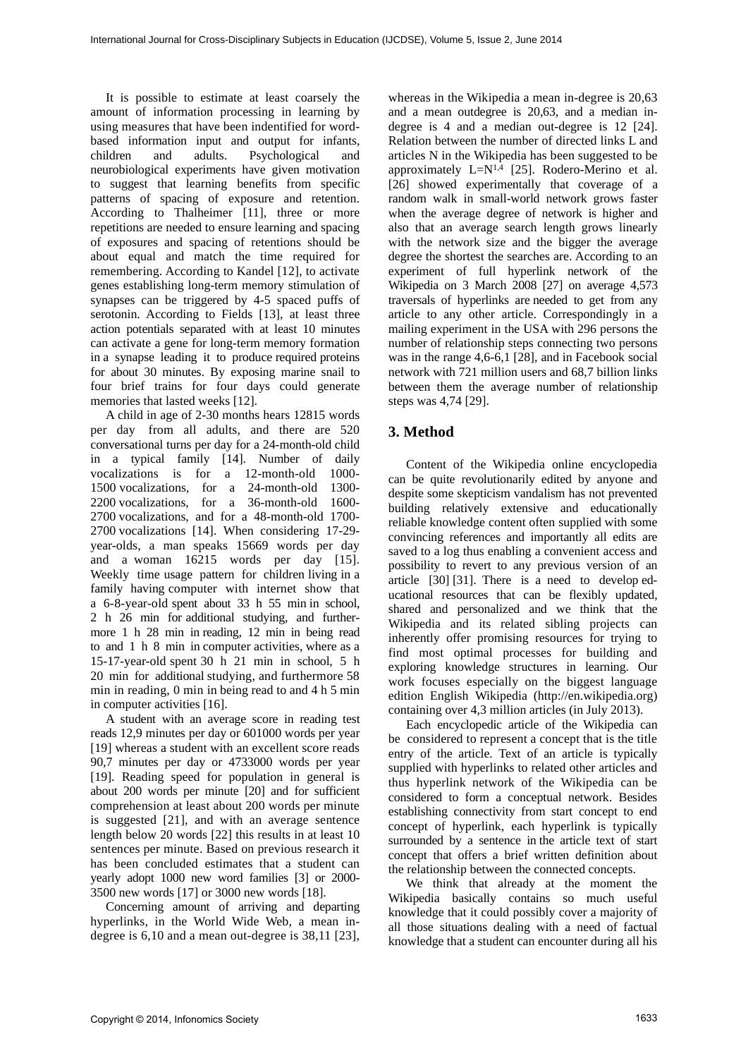It is possible to estimate at least coarsely the amount of information processing in learning by using measures that have been indentified for wordbased information input and output for infants, children and adults. Psychological and neurobiological experiments have given motivation to suggest that learning benefits from specific patterns of spacing of exposure and retention. According to Thalheimer [11], three or more repetitions are needed to ensure learning and spacing of exposures and spacing of retentions should be about equal and match the time required for remembering. According to Kandel [12], to activate genes establishing long-term memory stimulation of synapses can be triggered by 4-5 spaced puffs of serotonin. According to Fields [13], at least three action potentials separated with at least 10 minutes can activate a gene for long-term memory formation in a synapse leading it to produce required proteins for about 30 minutes. By exposing marine snail to four brief trains for four days could generate memories that lasted weeks [12].

A child in age of 2-30 months hears 12815 words per day from all adults, and there are 520 conversational turns per day for a 24-month-old child in a typical family [14]. Number of daily vocalizations is for a 12-month-old 1000- 1500 vocalizations, for a 24-month-old 1300- 2200 vocalizations, for a 36-month-old 1600- 2700 vocalizations, and for a 48-month-old 1700- 2700 vocalizations [14]. When considering 17-29 year-olds, a man speaks 15669 words per day and a woman 16215 words per day [15]. Weekly time usage pattern for children living in a family having computer with internet show that a 6-8-year-old spent about 33 h 55 min in school, 2 h 26 min for additional studying, and furthermore 1 h 28 min in reading, 12 min in being read to and 1 h 8 min in computer activities, where as a 15-17-year-old spent 30 h 21 min in school, 5 h 20 min for additional studying, and furthermore 58 min in reading, 0 min in being read to and 4 h 5 min in computer activities [16].

A student with an average score in reading test reads 12,9 minutes per day or 601000 words per year [19] whereas a student with an excellent score reads 90,7 minutes per day or 4733000 words per year [19]. Reading speed for population in general is about 200 words per minute [20] and for sufficient comprehension at least about 200 words per minute is suggested [21], and with an average sentence length below 20 words [22] this results in at least 10 sentences per minute. Based on previous research it has been concluded estimates that a student can yearly adopt 1000 new word families [3] or 2000- 3500 new words [17] or 3000 new words [18].

Concerning amount of arriving and departing hyperlinks, in the World Wide Web, a mean indegree is 6,10 and a mean out-degree is 38,11 [23],

whereas in the Wikipedia a mean in-degree is 20,63 and a mean outdegree is 20,63, and a median indegree is 4 and a median out-degree is 12 [24]. Relation between the number of directed links L and articles N in the Wikipedia has been suggested to be approximately  $L=N^{1,4}$  [25]. Rodero-Merino et al. [26] showed experimentally that coverage of a random walk in small-world network grows faster when the average degree of network is higher and also that an average search length grows linearly with the network size and the bigger the average degree the shortest the searches are. According to an experiment of full hyperlink network of the Wikipedia on 3 March 2008 [27] on average 4,573 traversals of hyperlinks are needed to get from any article to any other article. Correspondingly in a mailing experiment in the USA with 296 persons the number of relationship steps connecting two persons was in the range 4,6-6,1 [28], and in Facebook social network with 721 million users and 68,7 billion links between them the average number of relationship steps was 4,74 [29].

# **3. Method**

Content of the Wikipedia online encyclopedia can be quite revolutionarily edited by anyone and despite some skepticism vandalism has not prevented building relatively extensive and educationally reliable knowledge content often supplied with some convincing references and importantly all edits are saved to a log thus enabling a convenient access and possibility to revert to any previous version of an article [30] [31]. There is a need to develop educational resources that can be flexibly updated, shared and personalized and we think that the Wikipedia and its related sibling projects can inherently offer promising resources for trying to find most optimal processes for building and exploring knowledge structures in learning. Our work focuses especially on the biggest language edition English Wikipedia (http://en.wikipedia.org) containing over 4,3 million articles (in July 2013).

Each encyclopedic article of the Wikipedia can be considered to represent a concept that is the title entry of the article. Text of an article is typically supplied with hyperlinks to related other articles and thus hyperlink network of the Wikipedia can be considered to form a conceptual network. Besides establishing connectivity from start concept to end concept of hyperlink, each hyperlink is typically surrounded by a sentence in the article text of start concept that offers a brief written definition about the relationship between the connected concepts.

We think that already at the moment the Wikipedia basically contains so much useful knowledge that it could possibly cover a majority of all those situations dealing with a need of factual knowledge that a student can encounter during all his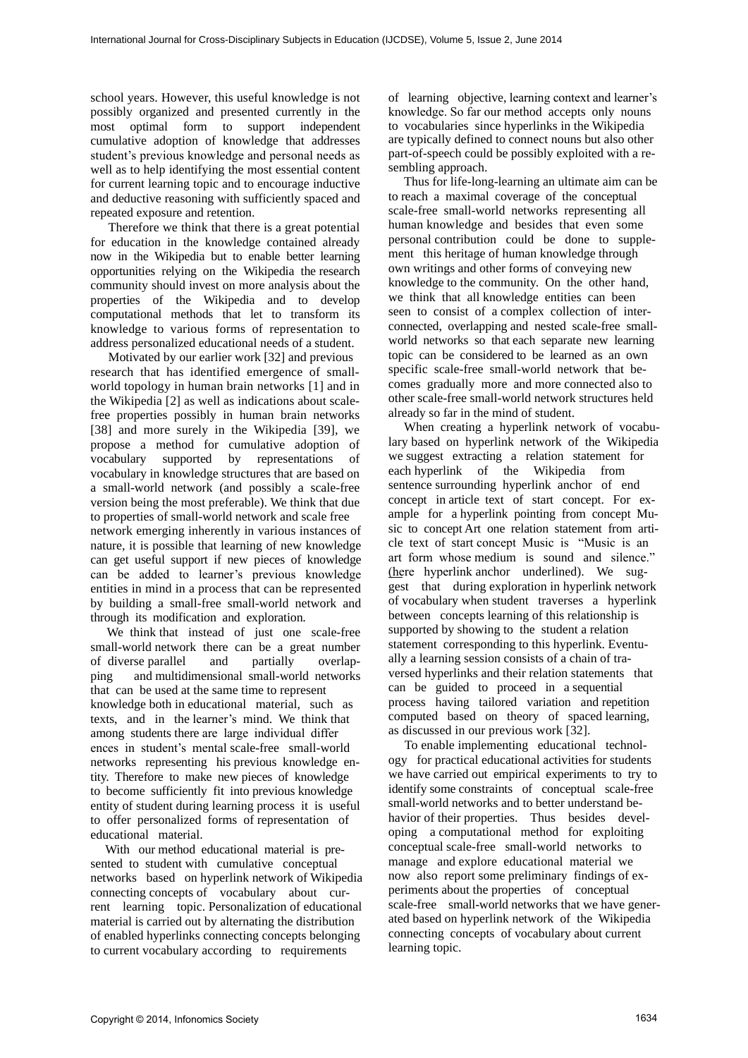school years. However, this useful knowledge is not possibly organized and presented currently in the most optimal form to support independent cumulative adoption of knowledge that addresses student's previous knowledge and personal needs as well as to help identifying the most essential content for current learning topic and to encourage inductive and deductive reasoning with sufficiently spaced and repeated exposure and retention.

Therefore we think that there is a great potential for education in the knowledge contained already now in the Wikipedia but to enable better learning opportunities relying on the Wikipedia the research community should invest on more analysis about the properties of the Wikipedia and to develop computational methods that let to transform its knowledge to various forms of representation to address personalized educational needs of a student.

Motivated by our earlier work [32] and previous research that has identified emergence of smallworld topology in human brain networks [1] and in the Wikipedia [2] as well as indications about scalefree properties possibly in human brain networks [38] and more surely in the Wikipedia [39], we propose a method for cumulative adoption of vocabulary supported by representations of vocabulary in knowledge structures that are based on a small-world network (and possibly a scale-free version being the most preferable). We think that due to properties of small-world network and scale free network emerging inherently in various instances of nature, it is possible that learning of new knowledge can get useful support if new pieces of knowledge can be added to learner's previous knowledge entities in mind in a process that can be represented by building a small-free small-world network and through its modification and exploration.

 We think that instead of just one scale-free small-world network there can be a great number of diverse parallel and partially overlapping and multidimensional small-world networks that can be used at the same time to represent knowledge both in educational material, such as texts, and in the learner's mind. We think that among students there are large individual differ ences in student's mental scale-free small-world networks representing his previous knowledge entity. Therefore to make new pieces of knowledge to become sufficiently fit into previous knowledge entity of student during learning process it is useful to offer personalized forms of representation of educational material.

 With our method educational material is presented to student with cumulative conceptual networks based on hyperlink network of Wikipedia connecting concepts of vocabulary about current learning topic. Personalization of educational material is carried out by alternating the distribution of enabled hyperlinks connecting concepts belonging to current vocabulary according to requirements

of learning objective, learning context and learner's knowledge. So far our method accepts only nouns to vocabularies since hyperlinks in the Wikipedia are typically defined to connect nouns but also other part-of-speech could be possibly exploited with a resembling approach.

 Thus for life-long-learning an ultimate aim can be to reach a maximal coverage of the conceptual scale-free small-world networks representing all human knowledge and besides that even some personal contribution could be done to supplement this heritage of human knowledge through own writings and other forms of conveying new knowledge to the community. On the other hand, we think that all knowledge entities can been seen to consist of a complex collection of interconnected, overlapping and nested scale-free smallworld networks so that each separate new learning topic can be considered to be learned as an own specific scale-free small-world network that becomes gradually more and more connected also to other scale-free small-world network structures held already so far in the mind of student.

 When creating a hyperlink network of vocabulary based on hyperlink network of the Wikipedia we suggest extracting a relation statement for each hyperlink of the Wikipedia from sentence surrounding hyperlink anchor of end concept in article text of start concept. For example for a hyperlink pointing from concept Music to concept Art one relation statement from article text of start concept Music is "Music is an art form whose medium is sound and silence." (here hyperlink anchor underlined). We suggest that during exploration in hyperlink network of vocabulary when student traverses a hyperlink between concepts learning of this relationship is supported by showing to the student a relation statement corresponding to this hyperlink. Eventually a learning session consists of a chain of traversed hyperlinks and their relation statements that can be guided to proceed in a sequential process having tailored variation and repetition computed based on theory of spaced learning, as discussed in our previous work [32].

 To enable implementing educational technology for practical educational activities for students we have carried out empirical experiments to try to identify some constraints of conceptual scale-free small-world networks and to better understand behavior of their properties. Thus besides developing a computational method for exploiting conceptual scale-free small-world networks to manage and explore educational material we now also report some preliminary findings of experiments about the properties of conceptual scale-free small-world networks that we have generated based on hyperlink network of the Wikipedia connecting concepts of vocabulary about current learning topic.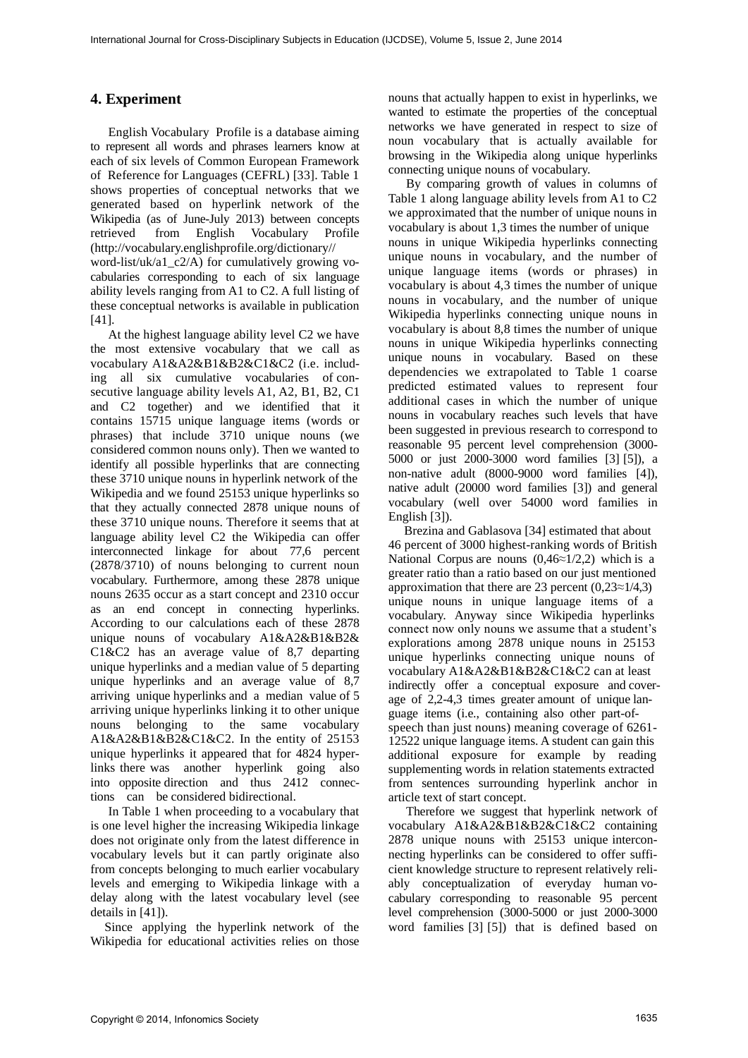# **4. Experiment**

English Vocabulary Profile is a database aiming to represent all words and phrases learners know at each of six levels of Common European Framework of Reference for Languages (CEFRL) [33]. Table 1 shows properties of conceptual networks that we generated based on hyperlink network of the Wikipedia (as of June-July 2013) between concepts retrieved from English Vocabulary Profile (http://vocabulary.englishprofile.org/dictionary// word-list/uk/a1\_c2/A) for cumulatively growing vocabularies corresponding to each of six language ability levels ranging from A1 to C2. A full listing of these conceptual networks is available in publication [41].

At the highest language ability level C2 we have the most extensive vocabulary that we call as vocabulary A1&A2&B1&B2&C1&C2 (i.e. including all six cumulative vocabularies of consecutive language ability levels A1, A2, B1, B2, C1 and C2 together) and we identified that it contains 15715 unique language items (words or phrases) that include 3710 unique nouns (we considered common nouns only). Then we wanted to identify all possible hyperlinks that are connecting these 3710 unique nouns in hyperlink network of the Wikipedia and we found 25153 unique hyperlinks so that they actually connected 2878 unique nouns of these 3710 unique nouns. Therefore it seems that at language ability level C2 the Wikipedia can offer interconnected linkage for about 77,6 percent (2878/3710) of nouns belonging to current noun vocabulary. Furthermore, among these 2878 unique nouns 2635 occur as a start concept and 2310 occur as an end concept in connecting hyperlinks. According to our calculations each of these 2878 unique nouns of vocabulary A1&A2&B1&B2& C1&C2 has an average value of 8,7 departing unique hyperlinks and a median value of 5 departing unique hyperlinks and an average value of 8,7 arriving unique hyperlinks and a median value of 5 arriving unique hyperlinks linking it to other unique nouns belonging to the same vocabulary A1&A2&B1&B2&C1&C2. In the entity of 25153 unique hyperlinks it appeared that for 4824 hyperlinks there was another hyperlink going also into opposite direction and thus 2412 connections can be considered bidirectional.

In Table 1 when proceeding to a vocabulary that is one level higher the increasing Wikipedia linkage does not originate only from the latest difference in vocabulary levels but it can partly originate also from concepts belonging to much earlier vocabulary levels and emerging to Wikipedia linkage with a delay along with the latest vocabulary level (see details in [41]).

Since applying the hyperlink network of the Wikipedia for educational activities relies on those

nouns that actually happen to exist in hyperlinks, we wanted to estimate the properties of the conceptual networks we have generated in respect to size of noun vocabulary that is actually available for browsing in the Wikipedia along unique hyperlinks connecting unique nouns of vocabulary.

By comparing growth of values in columns of Table 1 along language ability levels from A1 to C2 we approximated that the number of unique nouns in vocabulary is about 1,3 times the number of unique nouns in unique Wikipedia hyperlinks connecting unique nouns in vocabulary, and the number of unique language items (words or phrases) in vocabulary is about 4,3 times the number of unique nouns in vocabulary, and the number of unique Wikipedia hyperlinks connecting unique nouns in vocabulary is about 8,8 times the number of unique nouns in unique Wikipedia hyperlinks connecting unique nouns in vocabulary. Based on these dependencies we extrapolated to Table 1 coarse predicted estimated values to represent four additional cases in which the number of unique nouns in vocabulary reaches such levels that have been suggested in previous research to correspond to reasonable 95 percent level comprehension (3000- 5000 or just 2000-3000 word families [3] [5]), a non-native adult (8000-9000 word families [4]), native adult (20000 word families [3]) and general vocabulary (well over 54000 word families in English [3]).

 Brezina and Gablasova [34] estimated that about 46 percent of 3000 highest-ranking words of British National Corpus are nouns  $(0.46 \approx 1/2,2)$  which is a greater ratio than a ratio based on our just mentioned approximation that there are 23 percent  $(0,23 \approx 1/4,3)$ unique nouns in unique language items of a vocabulary. Anyway since Wikipedia hyperlinks connect now only nouns we assume that a student's explorations among 2878 unique nouns in 25153 unique hyperlinks connecting unique nouns of vocabulary A1&A2&B1&B2&C1&C2 can at least indirectly offer a conceptual exposure and coverage of 2,2-4,3 times greater amount of unique language items (i.e., containing also other part-ofspeech than just nouns) meaning coverage of 6261- 12522 unique language items. A student can gain this additional exposure for example by reading supplementing words in relation statements extracted from sentences surrounding hyperlink anchor in article text of start concept.

Therefore we suggest that hyperlink network of vocabulary A1&A2&B1&B2&C1&C2 containing 2878 unique nouns with 25153 unique interconnecting hyperlinks can be considered to offer sufficient knowledge structure to represent relatively reliably conceptualization of everyday human vocabulary corresponding to reasonable 95 percent level comprehension (3000-5000 or just 2000-3000 word families [3] [5]) that is defined based on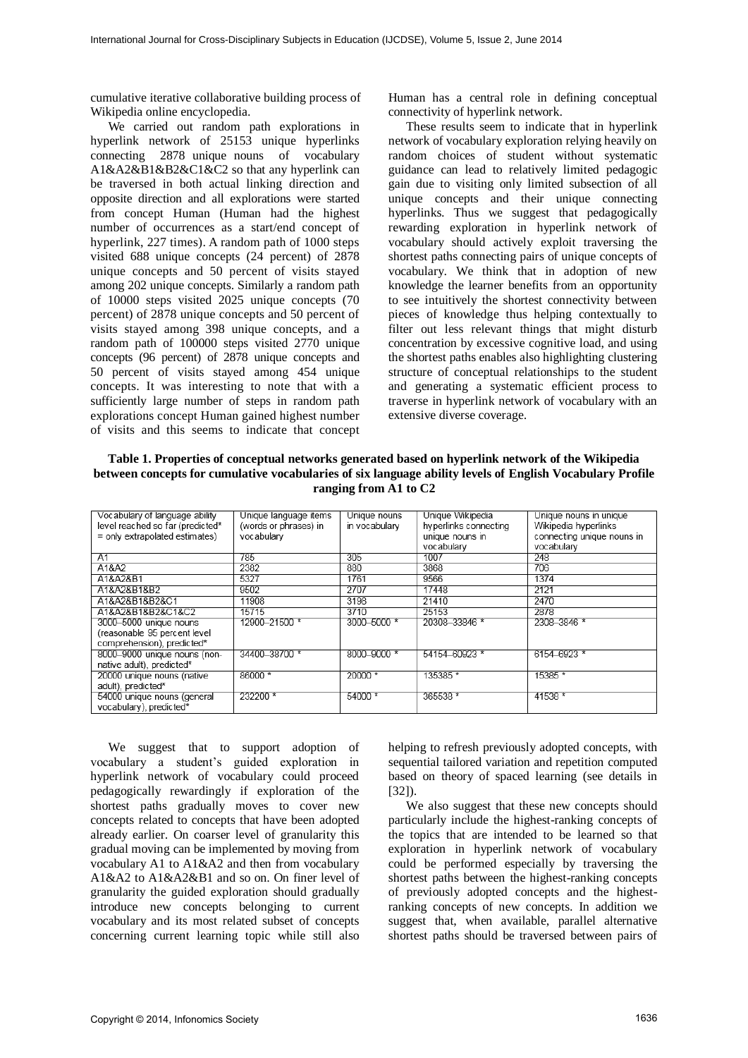cumulative iterative collaborative building process of Wikipedia online encyclopedia.

We carried out random path explorations in hyperlink network of 25153 unique hyperlinks connecting 2878 unique nouns of vocabulary A1&A2&B1&B2&C1&C2 so that any hyperlink can be traversed in both actual linking direction and opposite direction and all explorations were started from concept Human (Human had the highest number of occurrences as a start/end concept of hyperlink, 227 times). A random path of 1000 steps visited 688 unique concepts (24 percent) of 2878 unique concepts and 50 percent of visits stayed among 202 unique concepts. Similarly a random path of 10000 steps visited 2025 unique concepts (70 percent) of 2878 unique concepts and 50 percent of visits stayed among 398 unique concepts, and a random path of 100000 steps visited 2770 unique concepts (96 percent) of 2878 unique concepts and 50 percent of visits stayed among 454 unique concepts. It was interesting to note that with a sufficiently large number of steps in random path explorations concept Human gained highest number of visits and this seems to indicate that concept

Human has a central role in defining conceptual connectivity of hyperlink network.

These results seem to indicate that in hyperlink network of vocabulary exploration relying heavily on random choices of student without systematic guidance can lead to relatively limited pedagogic gain due to visiting only limited subsection of all unique concepts and their unique connecting hyperlinks. Thus we suggest that pedagogically rewarding exploration in hyperlink network of vocabulary should actively exploit traversing the shortest paths connecting pairs of unique concepts of vocabulary. We think that in adoption of new knowledge the learner benefits from an opportunity to see intuitively the shortest connectivity between pieces of knowledge thus helping contextually to filter out less relevant things that might disturb concentration by excessive cognitive load, and using the shortest paths enables also highlighting clustering structure of conceptual relationships to the student and generating a systematic efficient process to traverse in hyperlink network of vocabulary with an extensive diverse coverage.

**Table 1. Properties of conceptual networks generated based on hyperlink network of the Wikipedia between concepts for cumulative vocabularies of six language ability levels of English Vocabulary Profile ranging from A1 to C2**

| Vocabulary of language ability   | Unique language items | Unique nouns  | Unique Wikipedia      | Unique nouns in unique     |  |  |
|----------------------------------|-----------------------|---------------|-----------------------|----------------------------|--|--|
| level reached so far (predicted* | (words or phrases) in | in vocabulary | hyperlinks connecting | Wikipedia hyperlinks       |  |  |
| $=$ only extrapolated estimates) | vocabulary            |               | unique nouns in       | connecting unique nouns in |  |  |
|                                  |                       |               | vocabulary            | vocabulary                 |  |  |
| A1                               | 785                   | 305           | 1007                  | 248                        |  |  |
| A1&A2                            | 2382                  | 880           | 3868                  | 706                        |  |  |
| A1&A2&B1                         | 5327                  | 1761          | 9566                  | 1374                       |  |  |
| A1&A2&B1&B2                      | 9502                  | 2707          | 17448                 | 2121                       |  |  |
| A1&A2&B1&B2&C1                   | 11908                 | 3198          | 21410                 | 2470                       |  |  |
| A1&A2&B1&B2&C1&C2                | 15715                 | 3710          | 25153                 | 2878                       |  |  |
| 3000-5000 unique nouns           | 12900-21500 *         | 3000-5000 *   | 20308-33846 *         | 2308-3846 *                |  |  |
| (reasonable 95 percent level     |                       |               |                       |                            |  |  |
| comprehension), predicted*       |                       |               |                       |                            |  |  |
| 8000-9000 unique nouns (non-     | 34400-38700 *         | 8000-9000 *   | 54154-60923 *         | 6154-6923 *                |  |  |
| native adult), predicted*        |                       |               |                       |                            |  |  |
| 20000 unique nouns (native       | 86000 *               | $20000*$      | 135385 *              | 15385 *                    |  |  |
| adult), predicted*               |                       |               |                       |                            |  |  |
| 54000 unique nouns (general      | 232200 *              | 54000 *       | 365538 *              | 41538 *                    |  |  |
| vocabulary), predicted*          |                       |               |                       |                            |  |  |
|                                  |                       |               |                       |                            |  |  |

We suggest that to support adoption of vocabulary a student's guided exploration in hyperlink network of vocabulary could proceed pedagogically rewardingly if exploration of the shortest paths gradually moves to cover new concepts related to concepts that have been adopted already earlier. On coarser level of granularity this gradual moving can be implemented by moving from vocabulary A1 to A1&A2 and then from vocabulary A1&A2 to A1&A2&B1 and so on. On finer level of granularity the guided exploration should gradually introduce new concepts belonging to current vocabulary and its most related subset of concepts concerning current learning topic while still also

helping to refresh previously adopted concepts, with sequential tailored variation and repetition computed based on theory of spaced learning (see details in  $[32]$ ).

We also suggest that these new concepts should particularly include the highest-ranking concepts of the topics that are intended to be learned so that exploration in hyperlink network of vocabulary could be performed especially by traversing the shortest paths between the highest-ranking concepts of previously adopted concepts and the highestranking concepts of new concepts. In addition we suggest that, when available, parallel alternative shortest paths should be traversed between pairs of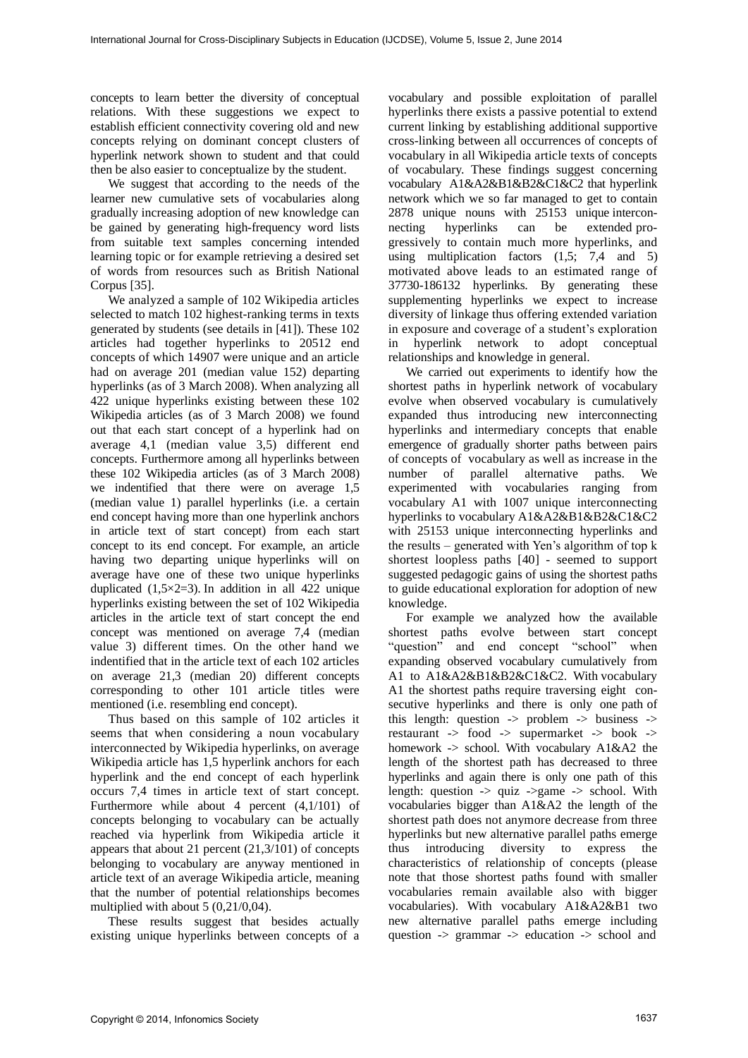concepts to learn better the diversity of conceptual relations. With these suggestions we expect to establish efficient connectivity covering old and new concepts relying on dominant concept clusters of hyperlink network shown to student and that could then be also easier to conceptualize by the student.

We suggest that according to the needs of the learner new cumulative sets of vocabularies along gradually increasing adoption of new knowledge can be gained by generating high-frequency word lists from suitable text samples concerning intended learning topic or for example retrieving a desired set of words from resources such as British National Corpus [35].

We analyzed a sample of 102 Wikipedia articles selected to match 102 highest-ranking terms in texts generated by students (see details in [41]). These 102 articles had together hyperlinks to 20512 end concepts of which 14907 were unique and an article had on average 201 (median value 152) departing hyperlinks (as of 3 March 2008). When analyzing all 422 unique hyperlinks existing between these 102 Wikipedia articles (as of 3 March 2008) we found out that each start concept of a hyperlink had on average 4,1 (median value 3,5) different end concepts. Furthermore among all hyperlinks between these 102 Wikipedia articles (as of 3 March 2008) we indentified that there were on average 1,5 (median value 1) parallel hyperlinks (i.e. a certain end concept having more than one hyperlink anchors in article text of start concept) from each start concept to its end concept. For example, an article having two departing unique hyperlinks will on average have one of these two unique hyperlinks duplicated  $(1,5\times2=3)$ . In addition in all 422 unique hyperlinks existing between the set of 102 Wikipedia articles in the article text of start concept the end concept was mentioned on average 7,4 (median value 3) different times. On the other hand we indentified that in the article text of each 102 articles on average 21,3 (median 20) different concepts corresponding to other 101 article titles were mentioned (i.e. resembling end concept).

Thus based on this sample of 102 articles it seems that when considering a noun vocabulary interconnected by Wikipedia hyperlinks, on average Wikipedia article has 1,5 hyperlink anchors for each hyperlink and the end concept of each hyperlink occurs 7,4 times in article text of start concept. Furthermore while about 4 percent (4,1/101) of concepts belonging to vocabulary can be actually reached via hyperlink from Wikipedia article it appears that about 21 percent (21,3/101) of concepts belonging to vocabulary are anyway mentioned in article text of an average Wikipedia article, meaning that the number of potential relationships becomes multiplied with about 5 (0,21/0,04).

These results suggest that besides actually existing unique hyperlinks between concepts of a

vocabulary and possible exploitation of parallel hyperlinks there exists a passive potential to extend current linking by establishing additional supportive cross-linking between all occurrences of concepts of vocabulary in all Wikipedia article texts of concepts of vocabulary. These findings suggest concerning vocabulary A1&A2&B1&B2&C1&C2 that hyperlink network which we so far managed to get to contain 2878 unique nouns with 25153 unique interconnecting hyperlinks can be extended progressively to contain much more hyperlinks, and using multiplication factors (1,5; 7,4 and 5) motivated above leads to an estimated range of 37730-186132 hyperlinks. By generating these supplementing hyperlinks we expect to increase diversity of linkage thus offering extended variation in exposure and coverage of a student's exploration in hyperlink network to adopt conceptual relationships and knowledge in general.

We carried out experiments to identify how the shortest paths in hyperlink network of vocabulary evolve when observed vocabulary is cumulatively expanded thus introducing new interconnecting hyperlinks and intermediary concepts that enable emergence of gradually shorter paths between pairs of concepts of vocabulary as well as increase in the number of parallel alternative paths. We experimented with vocabularies ranging from vocabulary A1 with 1007 unique interconnecting hyperlinks to vocabulary A1&A2&B1&B2&C1&C2 with 25153 unique interconnecting hyperlinks and the results – generated with Yen's algorithm of top k shortest loopless paths [40] - seemed to support suggested pedagogic gains of using the shortest paths to guide educational exploration for adoption of new knowledge.

For example we analyzed how the available shortest paths evolve between start concept "question" and end concept "school" when expanding observed vocabulary cumulatively from A1 to A1&A2&B1&B2&C1&C2. With vocabulary A1 the shortest paths require traversing eight consecutive hyperlinks and there is only one path of this length: question  $\rightarrow$  problem  $\rightarrow$  business  $\rightarrow$ restaurant -> food -> supermarket -> book -> homework -> school. With vocabulary A1&A2 the length of the shortest path has decreased to three hyperlinks and again there is only one path of this length: question  $\rightarrow$  quiz  $\rightarrow$  school. With vocabularies bigger than A1&A2 the length of the shortest path does not anymore decrease from three hyperlinks but new alternative parallel paths emerge thus introducing diversity to express the characteristics of relationship of concepts (please note that those shortest paths found with smaller vocabularies remain available also with bigger vocabularies). With vocabulary A1&A2&B1 two new alternative parallel paths emerge including question -> grammar -> education -> school and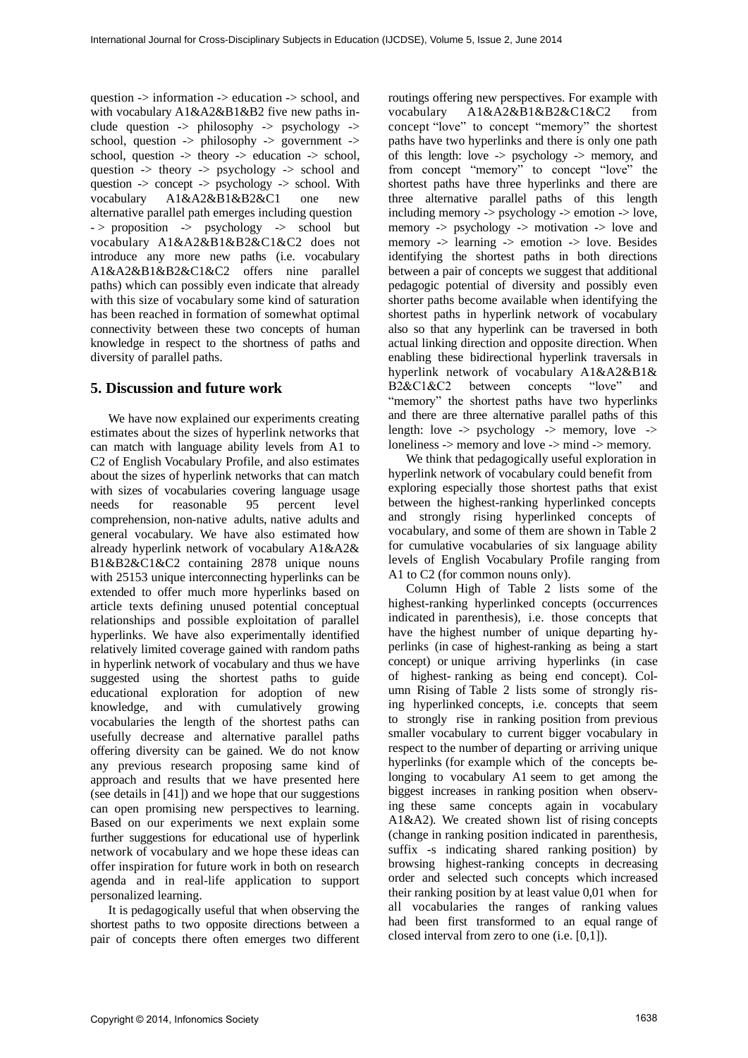question -> information -> education -> school, and with vocabulary A1&A2&B1&B2 five new paths include question  $\rightarrow$  philosophy  $\rightarrow$  psychology  $\rightarrow$ school, question  $\Rightarrow$  philosophy  $\Rightarrow$  government  $\Rightarrow$ school, question -> theory -> education -> school, question -> theory -> psychology -> school and question -> concept -> psychology -> school. With vocabulary A1&A2&B1&B2&C1 one new alternative parallel path emerges including question - > proposition -> psychology -> school but vocabulary A1&A2&B1&B2&C1&C2 does not introduce any more new paths (i.e. vocabulary A1&A2&B1&B2&C1&C2 offers nine parallel paths) which can possibly even indicate that already with this size of vocabulary some kind of saturation has been reached in formation of somewhat optimal connectivity between these two concepts of human knowledge in respect to the shortness of paths and diversity of parallel paths.

# **5. Discussion and future work**

We have now explained our experiments creating estimates about the sizes of hyperlink networks that can match with language ability levels from A1 to C2 of English Vocabulary Profile, and also estimates about the sizes of hyperlink networks that can match with sizes of vocabularies covering language usage needs for reasonable 95 percent level comprehension, non-native adults, native adults and general vocabulary. We have also estimated how already hyperlink network of vocabulary A1&A2& B1&B2&C1&C2 containing 2878 unique nouns with 25153 unique interconnecting hyperlinks can be extended to offer much more hyperlinks based on article texts defining unused potential conceptual relationships and possible exploitation of parallel hyperlinks. We have also experimentally identified relatively limited coverage gained with random paths in hyperlink network of vocabulary and thus we have suggested using the shortest paths to guide educational exploration for adoption of new knowledge, and with cumulatively growing vocabularies the length of the shortest paths can usefully decrease and alternative parallel paths offering diversity can be gained. We do not know any previous research proposing same kind of approach and results that we have presented here (see details in [41]) and we hope that our suggestions can open promising new perspectives to learning. Based on our experiments we next explain some further suggestions for educational use of hyperlink network of vocabulary and we hope these ideas can offer inspiration for future work in both on research agenda and in real-life application to support personalized learning.

It is pedagogically useful that when observing the shortest paths to two opposite directions between a pair of concepts there often emerges two different

routings offering new perspectives. For example with vocabulary A1&A2&B1&B2&C1&C2 from concept "love" to concept "memory" the shortest paths have two hyperlinks and there is only one path of this length: love -> psychology -> memory, and from concept "memory" to concept "love" the shortest paths have three hyperlinks and there are three alternative parallel paths of this length including memory -> psychology -> emotion -> love, memory -> psychology -> motivation -> love and memory -> learning -> emotion -> love. Besides identifying the shortest paths in both directions between a pair of concepts we suggest that additional pedagogic potential of diversity and possibly even shorter paths become available when identifying the shortest paths in hyperlink network of vocabulary also so that any hyperlink can be traversed in both actual linking direction and opposite direction. When enabling these bidirectional hyperlink traversals in hyperlink network of vocabulary A1&A2&B1& B2&C1&C2 between concepts "love" and "memory" the shortest paths have two hyperlinks and there are three alternative parallel paths of this length: love  $\rightarrow$  psychology  $\rightarrow$  memory, love  $\rightarrow$ loneliness -> memory and love -> mind -> memory.

We think that pedagogically useful exploration in hyperlink network of vocabulary could benefit from exploring especially those shortest paths that exist between the highest-ranking hyperlinked concepts and strongly rising hyperlinked concepts of vocabulary, and some of them are shown in Table 2 for cumulative vocabularies of six language ability levels of English Vocabulary Profile ranging from A1 to C2 (for common nouns only).

Column High of Table 2 lists some of the highest-ranking hyperlinked concepts (occurrences indicated in parenthesis), i.e. those concepts that have the highest number of unique departing hyperlinks (in case of highest-ranking as being a start concept) or unique arriving hyperlinks (in case of highest- ranking as being end concept). Column Rising of Table 2 lists some of strongly rising hyperlinked concepts, i.e. concepts that seem to strongly rise in ranking position from previous smaller vocabulary to current bigger vocabulary in respect to the number of departing or arriving unique hyperlinks (for example which of the concepts belonging to vocabulary A1 seem to get among the biggest increases in ranking position when observing these same concepts again in vocabulary A1&A2). We created shown list of rising concepts (change in ranking position indicated in parenthesis, suffix -s indicating shared ranking position) by browsing highest-ranking concepts in decreasing order and selected such concepts which increased their ranking position by at least value 0,01 when for all vocabularies the ranges of ranking values had been first transformed to an equal range of closed interval from zero to one (i.e. [0,1]).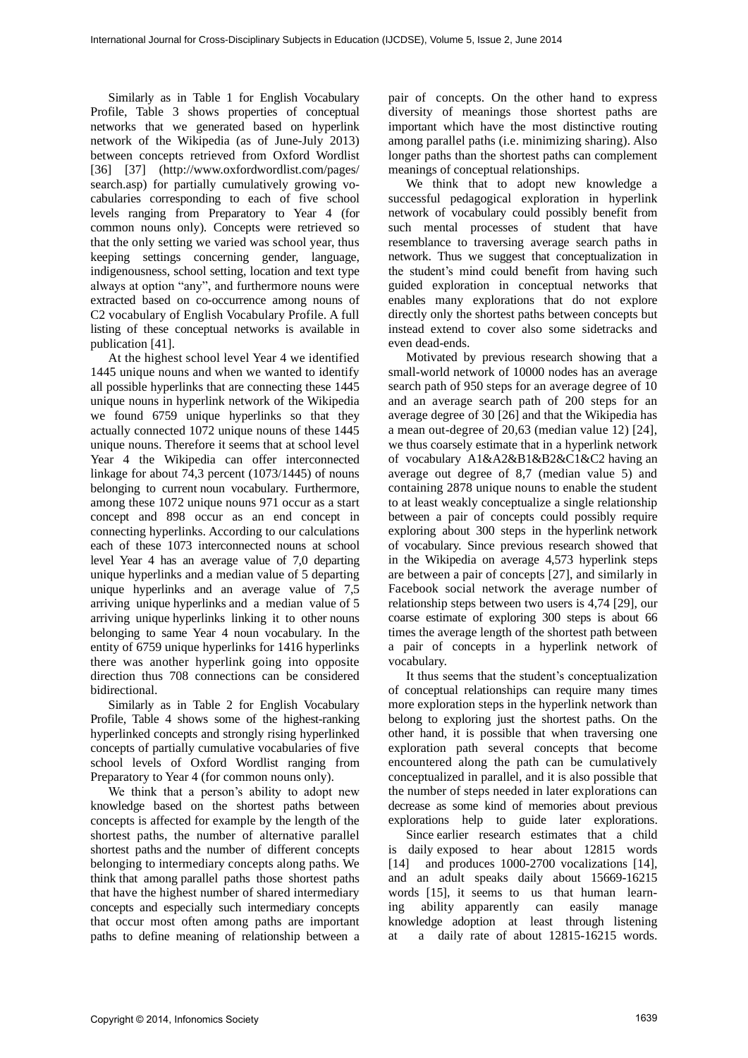Similarly as in Table 1 for English Vocabulary Profile, Table 3 shows properties of conceptual networks that we generated based on hyperlink network of the Wikipedia (as of June-July 2013) between concepts retrieved from Oxford Wordlist [36] [37] (http://www.oxfordwordlist.com/pages/ search.asp) for partially cumulatively growing vocabularies corresponding to each of five school levels ranging from Preparatory to Year 4 (for common nouns only). Concepts were retrieved so that the only setting we varied was school year, thus keeping settings concerning gender, language, indigenousness, school setting, location and text type always at option "any", and furthermore nouns were extracted based on co-occurrence among nouns of C2 vocabulary of English Vocabulary Profile. A full listing of these conceptual networks is available in publication [41].

At the highest school level Year 4 we identified 1445 unique nouns and when we wanted to identify all possible hyperlinks that are connecting these 1445 unique nouns in hyperlink network of the Wikipedia we found 6759 unique hyperlinks so that they actually connected 1072 unique nouns of these 1445 unique nouns. Therefore it seems that at school level Year 4 the Wikipedia can offer interconnected linkage for about  $74,3$  percent (1073/1445) of nouns belonging to current noun vocabulary. Furthermore, among these 1072 unique nouns 971 occur as a start concept and 898 occur as an end concept in connecting hyperlinks. According to our calculations each of these 1073 interconnected nouns at school level Year 4 has an average value of 7,0 departing unique hyperlinks and a median value of 5 departing unique hyperlinks and an average value of 7,5 arriving unique hyperlinks and a median value of 5 arriving unique hyperlinks linking it to other nouns belonging to same Year 4 noun vocabulary. In the entity of 6759 unique hyperlinks for 1416 hyperlinks there was another hyperlink going into opposite direction thus 708 connections can be considered bidirectional.

Similarly as in Table 2 for English Vocabulary Profile, Table 4 shows some of the highest-ranking hyperlinked concepts and strongly rising hyperlinked concepts of partially cumulative vocabularies of five school levels of Oxford Wordlist ranging from Preparatory to Year 4 (for common nouns only).

We think that a person's ability to adopt new knowledge based on the shortest paths between concepts is affected for example by the length of the shortest paths, the number of alternative parallel shortest paths and the number of different concepts belonging to intermediary concepts along paths. We think that among parallel paths those shortest paths that have the highest number of shared intermediary concepts and especially such intermediary concepts that occur most often among paths are important paths to define meaning of relationship between a pair of concepts. On the other hand to express diversity of meanings those shortest paths are important which have the most distinctive routing among parallel paths (i.e. minimizing sharing). Also longer paths than the shortest paths can complement meanings of conceptual relationships.

We think that to adopt new knowledge a successful pedagogical exploration in hyperlink network of vocabulary could possibly benefit from such mental processes of student that have resemblance to traversing average search paths in network. Thus we suggest that conceptualization in the student's mind could benefit from having such guided exploration in conceptual networks that enables many explorations that do not explore directly only the shortest paths between concepts but instead extend to cover also some sidetracks and even dead-ends.

Motivated by previous research showing that a small-world network of 10000 nodes has an average search path of 950 steps for an average degree of 10 and an average search path of 200 steps for an average degree of 30 [26] and that the Wikipedia has a mean out-degree of 20,63 (median value 12) [24], we thus coarsely estimate that in a hyperlink network of vocabulary A1&A2&B1&B2&C1&C2 having an average out degree of 8,7 (median value 5) and containing 2878 unique nouns to enable the student to at least weakly conceptualize a single relationship between a pair of concepts could possibly require exploring about 300 steps in the hyperlink network of vocabulary. Since previous research showed that in the Wikipedia on average 4,573 hyperlink steps are between a pair of concepts [27], and similarly in Facebook social network the average number of relationship steps between two users is 4,74 [29], our coarse estimate of exploring 300 steps is about 66 times the average length of the shortest path between a pair of concepts in a hyperlink network of vocabulary.

It thus seems that the student's conceptualization of conceptual relationships can require many times more exploration steps in the hyperlink network than belong to exploring just the shortest paths. On the other hand, it is possible that when traversing one exploration path several concepts that become encountered along the path can be cumulatively conceptualized in parallel, and it is also possible that the number of steps needed in later explorations can decrease as some kind of memories about previous explorations help to guide later explorations.

Since earlier research estimates that a child is daily exposed to hear about 12815 words [14] and produces 1000-2700 vocalizations [14], and an adult speaks daily about 15669-16215 words [15], it seems to us that human learning ability apparently can easily manage knowledge adoption at least through listening at a daily rate of about 12815-16215 words.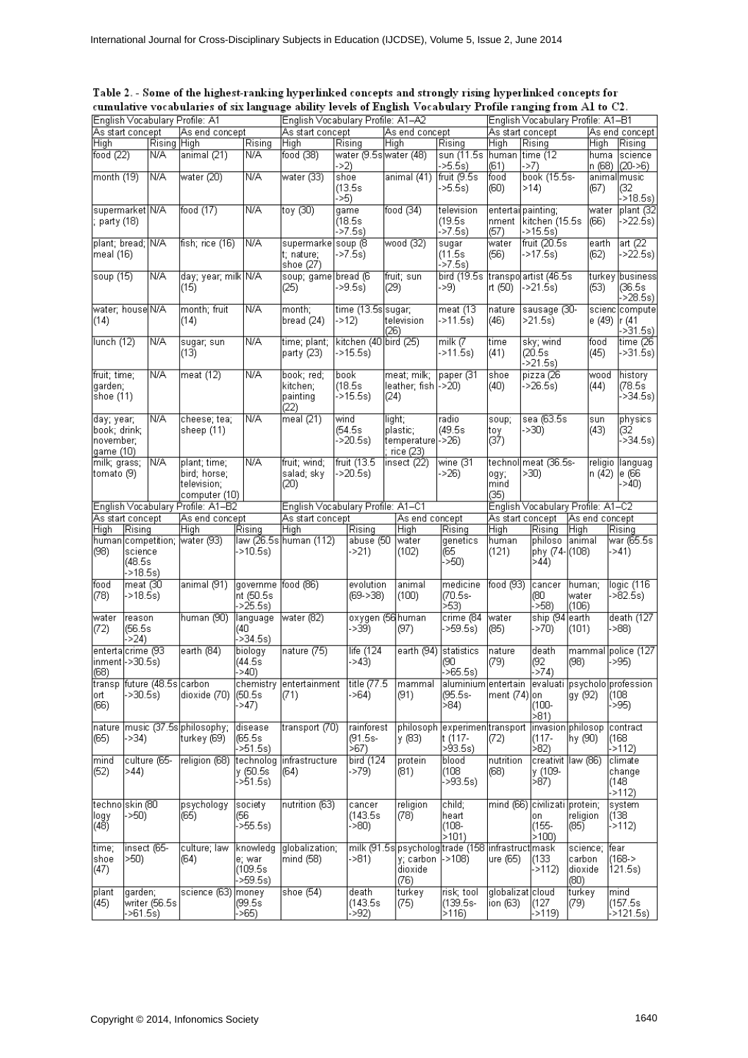| Table 2. - Some of the highest-ranking hyperlinked concepts and strongly rising hyperlinked concepts for    |
|-------------------------------------------------------------------------------------------------------------|
| cumulative vocabularies of six language ability levels of English Vocabulary Profile ranging from A1 to C2. |

|                             |                                   |                | English Vocabulary Profile: A1 |                       | English Vocabulary Profile: A1-A2 |                        | English Vocabulary Profile: A1-B1 |                                  |                |                                                  |                |         |                                   |
|-----------------------------|-----------------------------------|----------------|--------------------------------|-----------------------|-----------------------------------|------------------------|-----------------------------------|----------------------------------|----------------|--------------------------------------------------|----------------|---------|-----------------------------------|
| As start concept            |                                   |                | As end concept                 |                       | As start concept                  |                        | As end concept                    |                                  |                | As start concept                                 |                |         | As end concept                    |
| High                        |                                   | Rising High    |                                | Rising                | High                              | Rising                 | High                              | Rising                           | High           | Rising                                           |                | High    | Rising                            |
| food $(22)$                 |                                   | N/A            | animal (21)                    | N/A                   | food (38)                         | water (9.5s water (48) |                                   | sun (11.5s)                      | human          | time (12                                         |                | huma    | science                           |
|                             |                                   |                |                                |                       |                                   | ->2)                   |                                   | $-5.5s$                          | (61)           | ->7)                                             |                | n (68)  | $(20-5)$                          |
| month (19)                  |                                   | N/A            | water (20)                     | N/A                   | water (33)                        | shoe                   | animal (41)                       | fruit (9.5s)                     | food           | book (15.5s-                                     |                |         | animal music                      |
|                             |                                   |                |                                |                       |                                   | (13.5s)                |                                   | $-5.5s$                          | (60)           | >14                                              |                | (67)    | (32                               |
|                             |                                   |                |                                |                       |                                   | ->5)                   |                                   |                                  |                |                                                  |                |         | ->18.5s)                          |
| supermarket N/A             |                                   |                | food $(17)$                    | N/A                   | toy (30)                          | game                   | food (34)                         | television                       |                | entertai painting;                               |                | water   | plant (32                         |
| ; party (18)                |                                   |                |                                |                       |                                   | (18.5s)                |                                   | (19.5s)                          | nment          | kitchen (15.5s                                   |                | (66)    | ->22.5s)                          |
|                             |                                   |                |                                |                       |                                   | ⊦-`>7.5s)              |                                   | ->7.5s)                          | (57)           | $-215.5s$                                        |                |         |                                   |
| plant; bread; N/A           |                                   |                | fish; rice (16)                | N/A                   | supermarke soup (8                |                        | wood (32)                         | sugar                            | water          | fruit (20.5s)                                    |                | earth   | art $(22)$                        |
| lmeal (16)                  |                                   |                |                                |                       | t; nature;                        | ->7.5s)                |                                   | (11.5s)<br>->7.5s)               | (56)           | ->17.5s)                                         |                | (62)    | ->22.5s)                          |
| soup (15)                   |                                   | N/A            | day; year; milk N/A            |                       | shoe (27)<br>soup; game bread (6  |                        | fruit; sun                        | bird (19.5s)                     |                | transpo artist (46.5s                            |                | turkev  | business                          |
|                             |                                   |                | (15)                           |                       | (25)                              | ->9.5s)                | (29)                              | ->9)                             | rt (50)        | ->21.5s)                                         |                | (63)    | (36.5s                            |
|                             |                                   |                |                                |                       |                                   |                        |                                   |                                  |                |                                                  |                |         | ->28.5s)                          |
| water; house N/A            |                                   |                | month; fruit                   | N/A                   | month;                            | time (13.5s sugar;     |                                   | meat (13                         | nature         | sausage (30-                                     |                |         | scienc compute                    |
| (14)                        |                                   |                | (14)                           |                       | bread (24)                        | $-212$                 | television                        | $-211.5s$                        | (46)           | $>21.5s$ )                                       |                | e (49)  | r(41                              |
|                             |                                   |                |                                |                       |                                   |                        | (26)                              |                                  |                |                                                  |                |         | ->31.5s)                          |
| lunch (12)                  |                                   | N/A            | sugar; sun                     | N/A                   | time; plant;                      | kitchen (40 bird (25)  |                                   | milk $(7)$                       | time           | sky; wind                                        |                | food    | time (26-                         |
|                             |                                   |                | (13)                           |                       | party (23).                       | $-215.5s$              |                                   | ->11.5s)                         | (41)           | (20.5s)                                          |                | (45)    | ->31.5s)                          |
|                             |                                   |                |                                |                       |                                   |                        |                                   |                                  |                | $-21.5s$                                         |                |         |                                   |
| fruit; time;                |                                   | N/A            | meat (12)                      | N/A                   | book; red;                        | book                   | meat; milk;                       | paper (31                        | shoe           | pizza (26                                        |                | wood    | history                           |
| garden;                     |                                   |                |                                |                       | kitchen:                          | (18.5s)                | leather; fish [->20)              |                                  | (40)           | ->26.5s)                                         |                | (44)    | 78.5s                             |
| shoe (11)                   |                                   |                |                                |                       | painting                          | $-515.5s$              | (24)                              |                                  |                |                                                  |                |         | ->34.5s)                          |
|                             |                                   |                |                                |                       | (22)                              |                        |                                   |                                  |                |                                                  |                |         |                                   |
| day; year;                  |                                   | <b>N/A</b>     | cheese; tea;                   | N/A                   | meal $(21)$                       | wind                   | light;                            | radio                            | soup;          | sea (63.5s)                                      |                | sun     | physics                           |
| book; drink;                |                                   |                | sheep (11)                     |                       |                                   | (54.5s)                | plastic;                          | (49.5s)                          | tογ            | $-230$                                           |                | (43)    | (32                               |
| november;                   |                                   |                |                                |                       |                                   | $-20.5s$               | temperature[->26)                 |                                  | (37)           |                                                  |                |         | ->34.5s)                          |
| (qame (10                   |                                   |                |                                |                       |                                   |                        | rice (23)                         |                                  |                |                                                  |                |         |                                   |
| milk; grass;                |                                   | N/A            | plant; time;                   | N/A                   | fruit; wind;                      | fruit (13.5            | insect (22)                       | wine (31                         |                | technol meat (36.5s-                             |                | religio | languag                           |
| (cmato (9)                  |                                   |                | bird; horse;<br> television;   |                       | salad; sky<br>(20)                | ->20.5s)               |                                   | $-26$                            | ogy;<br>mind   | >30)                                             |                | n (42)  | le (66<br>->40)                   |
|                             |                                   |                | computer (10)                  |                       |                                   |                        |                                   |                                  | (35)           |                                                  |                |         |                                   |
|                             |                                   |                |                                |                       | English Vocabulary Profile: A1-C1 |                        |                                   |                                  |                | English Vocabulary Profile: A1-C2                |                |         |                                   |
|                             | English Vocabulary Profile: A1-B2 |                |                                |                       |                                   |                        |                                   |                                  |                |                                                  |                |         |                                   |
|                             |                                   |                |                                |                       |                                   |                        |                                   |                                  |                |                                                  |                |         |                                   |
| As start concept.           |                                   |                | As end concept                 |                       | As start concept                  |                        |                                   | As end concept                   |                | As start concept                                 | As end concept |         |                                   |
| High                        | Rising                            |                | High                           | Rising                | High                              | Rising                 | High                              | Rising                           | High           | Rising                                           | High           |         | Rising                            |
|                             |                                   |                | human competition; water (93)  |                       | law (26.5s human (112)            | abuse (50              | water                             | genetics                         | human          | philoso                                          | <b>Tanimal</b> |         | war (65.5s                        |
| (98)                        | science<br>(48.5s                 |                |                                | ·>10.5s)              |                                   | ->21)                  | (102)                             | (65<br>550                       | (121)          | phy (74-(108)<br>>44                             |                |         | ->41)                             |
|                             | ->18.5s)                          |                |                                |                       |                                   |                        |                                   |                                  |                |                                                  |                |         |                                   |
| food                        | meat (30                          |                | animal (91)                    | governme              | food (86)                         | evolution              | animal                            | medicine                         | food (93)      | cancer                                           | human;         |         | logic (116                        |
| (78)                        | ->18.5s)                          |                |                                | nt (50.5s             |                                   | $(69 - 38)$            | (100)                             | (70.5s-                          |                | (80                                              | water          |         | $-82.5s$                          |
|                             |                                   |                |                                | ->25.5s)              |                                   |                        |                                   | >53)                             |                | >58)                                             | (106)          |         |                                   |
| water                       | reason                            |                | human (90)                     | language              | water (82)                        |                        | oxygen (56 human                  | crime (84                        | water          | ship (94 earth                                   |                |         |                                   |
| (72)                        | (56.5s)                           |                |                                | (40                   |                                   | ->39)                  | (97)                              | $-59.5s$                         | (85)           | ->70)                                            | (101)          |         | ->88)                             |
|                             | >24                               |                |                                | ->34.5s)              |                                   |                        |                                   |                                  |                |                                                  |                |         |                                   |
| entertalcrime (93           |                                   |                | earth (84)                     | biology               | nature (75)                       | life $(124)$           | earth (94)                        | statistics                       | nature         | death                                            | mammal         |         |                                   |
| inment ->30.5s)             |                                   |                |                                | (44.5s                |                                   | ->43)                  |                                   | (90                              | (79)           | (92                                              | (98)           |         | ->95)                             |
| (68)                        |                                   |                |                                | >40                   |                                   |                        |                                   | l->65.5s)                        |                | $-574$                                           |                |         |                                   |
| transp future (48.5s carbon |                                   |                |                                |                       | chemistry  entertainment          | title (77.5            | mammal                            |                                  |                | aluminium entertain evaluati psycholo profession |                |         |                                   |
| ort                         | ->30.5s).                         |                | dioxide (70)                   | (50.5s                | (71)                              | ->64)                  | (91)                              | (95.5s-                          | ment $(74)$ on |                                                  | gy (92)        |         | (108                              |
| (66)                        |                                   |                |                                | $-547$                |                                   |                        |                                   | >84)                             |                | (100-                                            |                |         | ->95)                             |
|                             |                                   |                |                                |                       |                                   |                        |                                   |                                  |                | >81                                              |                |         |                                   |
| nature                      |                                   |                | music (37.5s philosophy;       | disease               | transport (70)                    | rainforest             | philosoph                         | experimen transport              |                | invasion philosop                                |                |         | contract                          |
| (65)                        | >>34)                             |                | turkeγ (69)                    | (65.5s)               |                                   | (91.5s-<br>>67)        | lγ (83)                           | lt (117-                         | (72)           | (117-                                            | hy (90)        |         | (168                              |
| mind                        |                                   | culture (65-   | religion (68)                  | ->51.5s)<br>technolog | infrastructure                    |                        | protein                           | >93.5s)<br>blood                 | nutrition      | ∣>82)<br>creativit llaw (86)                     |                |         | ->112)<br>climate                 |
|                             | >44                               |                |                                |                       | (64)                              | bird (124<br>->79)     | (81)                              | (108                             | (68)           |                                                  |                |         | change                            |
| (52)                        |                                   |                |                                | y (50.5s<br>->51.5s)  |                                   |                        |                                   | ├>93.5s)                         |                | ly (109-<br>∣≶87).                               |                |         | (148                              |
|                             |                                   |                |                                |                       |                                   |                        |                                   |                                  |                |                                                  |                |         | $-5112$                           |
| techno skin (80             |                                   |                | psychology                     | society               | nutrition (63)                    | cancer                 | religion                          | child;                           |                | mind (66) civilizati protein;                    |                |         | system                            |
| llogy                       | ->50)                             |                | (65)                           | (56                   |                                   | (143.5s)               | (78)                              | heart                            |                | on                                               | religion       |         | death (127<br>police (127<br>(138 |
| (48)                        |                                   |                |                                | ->55.5s)              |                                   | ->80)                  |                                   | (108-                            |                | (155-                                            | (85)           |         | $-5112$                           |
|                             |                                   |                |                                |                       |                                   |                        |                                   | $\ket{5101}$                     |                | >100                                             |                |         |                                   |
| time;                       | insect (65-                       |                | culture; law                   | knowledg              | globalization;                    |                        |                                   | milk (91.5s psycholog trade (158 |                | infrastruct mask                                 | science;       |         | fear                              |
| shoe                        | >50)                              |                | (64)                           | e: war                | mind (58)                         | ->81)                  |                                   | $y$ ; carbon $\ket{-2108}$       | ure (65)       | (133                                             | lcarbon.       |         | $(168 - 5)$                       |
| (47)                        |                                   |                |                                | (109.5s               |                                   |                        | dioxide                           |                                  |                | ->112)                                           | dioxide        |         | 121.5s)                           |
|                             |                                   |                |                                | ->59.5s)              |                                   |                        | (76)                              |                                  |                |                                                  | (60)           |         |                                   |
| plant<br>(45)               | garden;                           | writer (56.5s) | science (63) money             | (99.5s)               | shoe $(54)$                       | death<br>(143.5s)      | turkey<br>(75)                    | risk; tool<br>(139.5s-           | ion (63)       | globalizat cloud<br>(127                         | turkey<br>(79) |         | mind<br>(157.5s                   |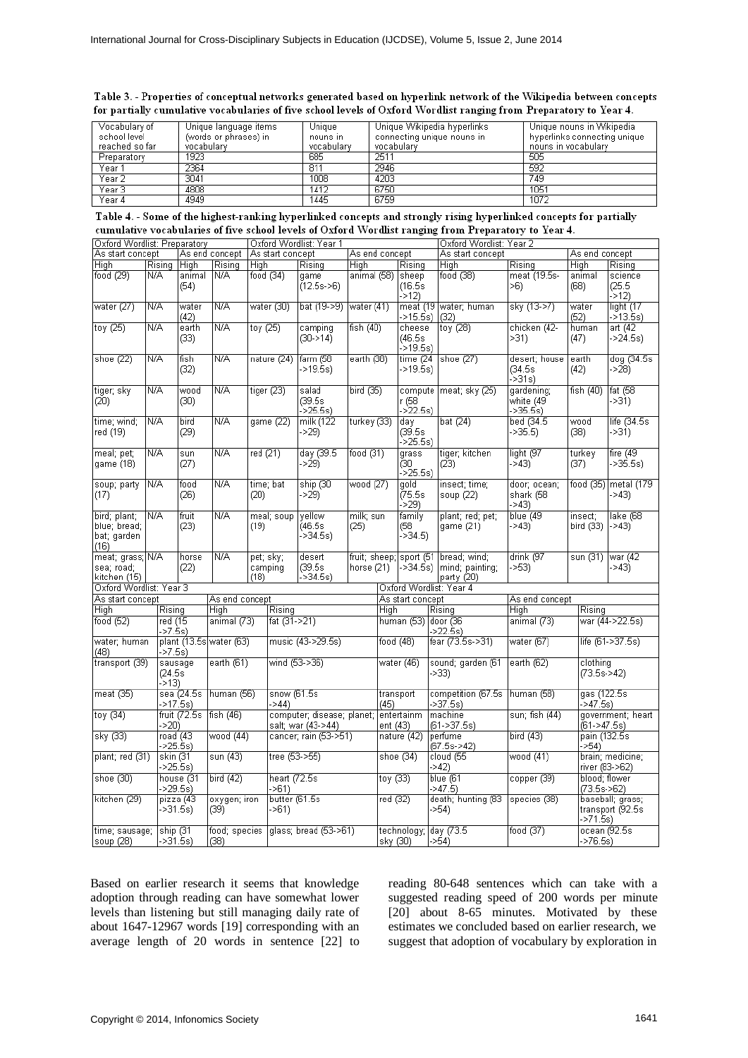|  | Table 3. - Properties of conceptual networks generated based on hyperlink network of the Wikipedia between concepts |  |  |  |
|--|---------------------------------------------------------------------------------------------------------------------|--|--|--|
|  | for partially cumulative vocabularies of five school levels of Oxford Wordlist ranging from Preparatory to Year 4.  |  |  |  |

| Vocabulary of  | Unique language items | Unique     | Unique Wikipedia hyperlinks | Unique nouns in Wikipedia    |
|----------------|-----------------------|------------|-----------------------------|------------------------------|
| school level   | (words or phrases) in | nouns in   | connecting unique nouns in  | hyperlinks connecting unique |
| reached so far | vocabularv            | vocabularv | vocabulary                  | nouns in vocabulary          |
| Preparatory    | 1923                  | 685        | 2511                        | 505                          |
| Year 1         | 2364                  | 81'        | 2946                        | 592                          |
| Year 2         | 3041                  | 1008       | 4203                        | 749                          |
| Year 3         | 4808                  | 1412       | 6750                        | 1051                         |
| Year 4         | 4949                  | 1445       | 6759                        | 1072                         |

| Table 4. - Some of the highest-ranking hyperlinked concepts and strongly rising hyperlinked concepts for partially |
|--------------------------------------------------------------------------------------------------------------------|
| cumulative vocabularies of five school levels of Oxford Wordlist ranging from Preparatory to Year 4.               |

| Oxford Wordlist: Preparatory |           |               |                         | Oxford Wordlist: Year 1 |                  |                            |                |           |                  |  | Oxford Wordlist: Year 2       |                |                 |                   |
|------------------------------|-----------|---------------|-------------------------|-------------------------|------------------|----------------------------|----------------|-----------|------------------|--|-------------------------------|----------------|-----------------|-------------------|
| As start concept             |           |               | As end concept          |                         | As start concept |                            | As end concept |           |                  |  | As start concept              |                | As end concept  |                   |
| High                         | Risina    | High          | Risina                  | High                    |                  | Risina                     | High           |           | Rising           |  | <b>High</b>                   | Risina         | <b>High</b>     | Risina            |
| food (29)                    | N/A       | animal        | N/A                     | food $(34)$             |                  | game                       | animal (58)    |           | sheep            |  | food (38)                     | meat (19.5s-   | animal          | science           |
|                              |           | (54)          |                         |                         |                  | (12.5s > 6)                |                |           | (16.5s)          |  |                               | >6)            | (68)            | (25.5)            |
|                              |           |               |                         |                         |                  |                            |                |           |                  |  |                               |                |                 |                   |
|                              |           |               |                         |                         |                  |                            |                |           | $-512$           |  |                               |                |                 | $-512$            |
| water (27)                   | N/A       | water         | N/A                     |                         | water (30)       | bat (19->9)                | water (41)     |           |                  |  | meat (19 water; human         | sky (13->7)    | water           | light (17         |
|                              |           | (42)          |                         |                         |                  |                            |                |           | ->15.5s)         |  | (32)                          |                | (52)            | ->13.5s)          |
| toy (25)                     | N/A       | earth         | N/A                     | toy $(25)$              |                  | camping                    | fish $(40)$    |           | cheese           |  | toγ (28)                      | chicken (42-   | human           | art (42           |
|                              |           | (33)          |                         |                         |                  | $(30-14)$                  |                |           | (46.5s           |  |                               | $>31$ )        | (47)            | $-24.5s)$         |
|                              |           |               |                         |                         |                  |                            |                |           | ->19.5s)         |  |                               |                |                 |                   |
|                              |           |               |                         |                         |                  |                            |                |           |                  |  |                               |                |                 |                   |
| shoe (22)                    | N/A       | fish          | N/A                     |                         | nature (24)      | farm (58                   | earth (38)     |           | time(24)         |  | shoe (27)                     | desert; house  | earth           | dog (34.5s)       |
|                              |           | (32)          |                         |                         |                  | ->19.5s)                   |                |           | ->19.5s)         |  |                               | (34.5s)        | (42)            | ->28)             |
|                              |           |               |                         |                         |                  |                            |                |           |                  |  |                               | ->31s)         |                 |                   |
| tiger; sky                   | N/A       | wood          | N/A                     |                         | tiger $(23)$     | salad                      | bird (35)      |           |                  |  | compute   meat; sky (25)      | gardening;     | fish $(40)$     | fat $(58)$        |
| (20)                         |           | (30)          |                         |                         |                  | (39.5s                     |                |           | r (58            |  |                               | white (49)     |                 | ->31)             |
|                              |           |               |                         |                         |                  | $-25.5s$                   |                |           | ->22.5s)         |  |                               | ->35.5s)       |                 |                   |
|                              |           |               |                         |                         |                  |                            |                |           |                  |  |                               |                |                 |                   |
| time; wind;                  | N/A       | bird          | N/A                     |                         | game (22)        | milk (122                  | turkey (33)    |           | day              |  | bat $(24)$                    | bed (34.5)     | wood            | life $(34.5s)$    |
| red (19)                     |           | (29)          |                         |                         |                  | ->29)                      |                |           | (39.5s)          |  |                               | $-235.5$       | (38)            | ->31)             |
|                              |           |               |                         |                         |                  |                            |                |           | ->25.5s)         |  |                               |                |                 |                   |
| meal; pet;                   | N/A       | sun           | N/A                     | red $(21)$              |                  | day (39.5                  | food $(31)$    |           | grass            |  | tiger; kitchen                | light (97      | turkey          | fire $(49)$       |
| game (18)                    |           | (27)          |                         |                         |                  | ->29)                      |                |           | (30              |  | (23)                          | $-543$         | (37)            | ->35.5s)          |
|                              |           |               |                         |                         |                  |                            |                |           | ->25.5s)         |  |                               |                |                 |                   |
|                              |           |               |                         |                         |                  |                            |                |           |                  |  |                               |                |                 |                   |
| soup; party                  | N/A       | food          | N/A                     |                         | time; bat        | ship (30                   | wood (27)      |           | gold             |  | insect; time;                 | door; ocean;   | food $(35)$     | metal (179        |
| (17)                         |           | (26)          |                         | (20)                    |                  | ->29)                      |                |           | (75.5s)          |  | soup (22)                     | shark (58      |                 | ->43)             |
|                              |           |               |                         |                         |                  |                            |                |           | >29              |  |                               | ->43)          |                 |                   |
| bird; plant;                 | N/A       | fruit         | N/A                     |                         | meal; soup       | vellow                     | milk; sun      |           | family           |  | plant; red; pet;              | blue (49       | insect;         | lake (68          |
| blue; bread;                 |           | (23)          |                         | (19)                    |                  | (46.5s)                    | (25)           |           | (58              |  | qame(21)                      | $-243$         | bird (33)       | $-243$            |
|                              |           |               |                         |                         |                  | ->34.5s)                   |                |           | >34.5            |  |                               |                |                 |                   |
| bat; garden                  |           |               |                         |                         |                  |                            |                |           |                  |  |                               |                |                 |                   |
| (16)                         |           |               |                         |                         |                  |                            |                |           |                  |  |                               |                |                 |                   |
| meat; grass;                 | N/A       | horse         | N/A                     |                         | pet; sky;        | desert                     | fruit; sheep;  |           |                  |  | sport (51  bread; wind;       | drink (97      | sun (31)        | war $(42)$        |
| sea; road;                   |           | (22)          |                         |                         | camping          | (39.5s)                    | horse $(21)$   |           |                  |  | ->34.5s) [mind; painting;     | $-253$         |                 | $-243$            |
| kitchen (15)                 |           |               |                         | (18)                    |                  | ->34.5s)                   |                |           |                  |  | party (20)                    |                |                 |                   |
| Oxford Wordlist: Year 3      |           |               |                         |                         |                  |                            |                |           |                  |  | Oxford Wordlist: Year 4       |                |                 |                   |
| As start concept             |           |               | As end concept          |                         |                  |                            |                |           | As start concept |  |                               | As end concept |                 |                   |
|                              |           |               |                         |                         | Risina           |                            |                |           |                  |  |                               |                | Risina          |                   |
| High                         | Rising    |               | High                    |                         |                  |                            |                | High      |                  |  | Rising                        | High           |                 |                   |
| food (52)                    | red (15   |               | animal (73)             |                         | fat (31->21)     |                            |                |           | human (53)       |  | door (36                      | animal (73)    |                 | war (44->22.5s)   |
|                              | ->7.5s)   |               |                         |                         |                  |                            |                |           |                  |  | ->22.5s)                      |                |                 |                   |
| water; human                 |           |               | plant (13.5s water (63) |                         |                  | music (43->29.5s)          |                | food (48) |                  |  | fear (73.5s->31)              | water (67)     |                 | life (61->37.5s)  |
| (48)                         | $-27.5s$  |               |                         |                         |                  |                            |                |           |                  |  |                               |                |                 |                   |
| transport (39)               |           | sausage       | earth (61)              |                         |                  | wind (53->36)              |                |           | water (46)       |  | sound; garden (61             | earth (62)     | clothing        |                   |
|                              | (24.5s)   |               |                         |                         |                  |                            |                |           |                  |  | ->33)                         |                | (73.5s > 42)    |                   |
|                              | ->13)     |               |                         |                         |                  |                            |                |           |                  |  |                               |                |                 |                   |
|                              |           |               |                         |                         |                  |                            |                |           |                  |  |                               |                |                 |                   |
| meat (35)                    |           | sea (24.5s)   | human (56)              |                         | snow (61.5s)     |                            |                |           | transport        |  | competition (67.5s)           | human (58)     | gas (122.5s     |                   |
|                              | ->17.5s)  |               |                         |                         | ->44)            |                            |                | (45)      |                  |  | ->37.5s)                      |                | ->47.5s)        |                   |
| toy $(34)$                   |           | fruit (72.5s) | fish (46)               |                         |                  | computer; disease; planet; |                |           | entertainm       |  | machine                       | sun: fish (44) |                 | government; heart |
|                              | ->20)     |               |                         |                         |                  | salt; war (43->44)         |                | ent (43)  |                  |  | (61->37.5s)                   |                | $(61 - 247.5s)$ |                   |
| sky (33)                     | road (43  |               | wood (44)               |                         |                  | cancer; rain (53->51)      |                |           | nature (42)      |  | perfume                       | bird $(43)$    |                 | pain (132.5s)     |
|                              | $-25.5s$  |               |                         |                         |                  |                            |                |           |                  |  | (67.5s->42)                   |                | ->54)           |                   |
| plant; red (31)              |           |               |                         |                         | tree $(53 - 55)$ |                            |                |           |                  |  |                               | wood (41)      |                 | brain; medicine;  |
|                              | skin (31  |               | sun (43)                |                         |                  |                            |                |           | shoe (34)        |  | $\overline{\text{cloud}}$ (55 |                |                 |                   |
|                              | ->25.5s)  |               |                         |                         |                  |                            |                |           |                  |  | ->42)                         |                |                 | river (83->62)    |
| shoe (30)                    |           | house (31     | bird (42)               |                         | heart (72.5s     |                            |                | toγ (33)  |                  |  | blue (61                      | copper (39)    |                 | blood; flower     |
|                              |           | >29.5s        |                         |                         | ->61)            |                            |                |           |                  |  | $-247.5$                      |                | $(73.5s - 62)$  |                   |
| kitchen (29)                 |           | pizza (43     | oxygen; iron            |                         | butter (61.5s)   |                            |                | red (32)  |                  |  | death; hunting (83            | species (38)   |                 | baseball; grass;  |
|                              | $-231.5s$ |               | (39)                    |                         | ->61)            |                            |                |           |                  |  | >>54                          |                |                 | transport (92.5s  |
|                              |           |               |                         |                         |                  |                            |                |           |                  |  |                               |                | ->71.5s)        |                   |
|                              |           |               |                         |                         |                  |                            |                |           |                  |  |                               |                |                 |                   |
| time; sausage;               | ship (31  |               | food; species           |                         |                  | glass; bread (53->61)      |                |           |                  |  | technology;  day (73.5        | food (37)      |                 | ocean (92.5s      |
| soup (28)                    | ->31.5s)  |               | (38)                    |                         |                  |                            |                | skγ (30)  |                  |  | ->54)                         |                | $-276.5s$       |                   |

Based on earlier research it seems that knowledge adoption through reading can have somewhat lower levels than listening but still managing daily rate of about 1647-12967 words [19] corresponding with an average length of 20 words in sentence [22] to reading 80-648 sentences which can take with a suggested reading speed of 200 words per minute [20] about 8-65 minutes. Motivated by these estimates we concluded based on earlier research, we suggest that adoption of vocabulary by exploration in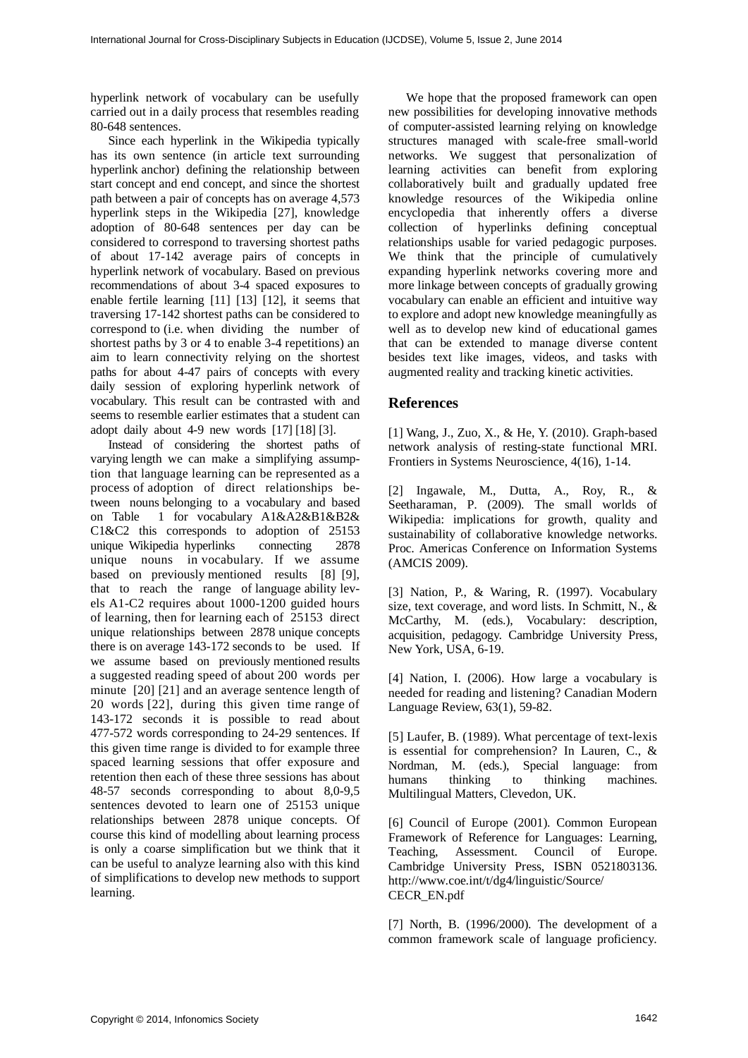hyperlink network of vocabulary can be usefully carried out in a daily process that resembles reading 80-648 sentences.

Since each hyperlink in the Wikipedia typically has its own sentence (in article text surrounding hyperlink anchor) defining the relationship between start concept and end concept, and since the shortest path between a pair of concepts has on average 4,573 hyperlink steps in the Wikipedia [27], knowledge adoption of 80-648 sentences per day can be considered to correspond to traversing shortest paths of about 17-142 average pairs of concepts in hyperlink network of vocabulary. Based on previous recommendations of about 3-4 spaced exposures to enable fertile learning [11] [13] [12], it seems that traversing 17-142 shortest paths can be considered to correspond to (i.e. when dividing the number of shortest paths by 3 or 4 to enable 3-4 repetitions) an aim to learn connectivity relying on the shortest paths for about 4-47 pairs of concepts with every daily session of exploring hyperlink network of vocabulary. This result can be contrasted with and seems to resemble earlier estimates that a student can adopt daily about 4-9 new words [17] [18] [3].

Instead of considering the shortest paths of varying length we can make a simplifying assumption that language learning can be represented as a process of adoption of direct relationships between nouns belonging to a vocabulary and based on Table 1 for vocabulary A1&A2&B1&B2& C1&C2 this corresponds to adoption of 25153 unique Wikipedia hyperlinks connecting 2878 unique nouns in vocabulary. If we assume based on previously mentioned results [8] [9], that to reach the range of language ability levels A1-C2 requires about 1000-1200 guided hours of learning, then for learning each of 25153 direct unique relationships between 2878 unique concepts there is on average 143-172 seconds to be used. If we assume based on previously mentioned results a suggested reading speed of about 200 words per minute [20] [21] and an average sentence length of 20 words [22], during this given time range of 143-172 seconds it is possible to read about 477-572 words corresponding to 24-29 sentences. If this given time range is divided to for example three spaced learning sessions that offer exposure and retention then each of these three sessions has about 48-57 seconds corresponding to about 8,0-9,5 sentences devoted to learn one of 25153 unique relationships between 2878 unique concepts. Of course this kind of modelling about learning process is only a coarse simplification but we think that it can be useful to analyze learning also with this kind of simplifications to develop new methods to support learning.

We hope that the proposed framework can open new possibilities for developing innovative methods of computer-assisted learning relying on knowledge structures managed with scale-free small-world networks. We suggest that personalization of learning activities can benefit from exploring collaboratively built and gradually updated free knowledge resources of the Wikipedia online encyclopedia that inherently offers a diverse collection of hyperlinks defining conceptual relationships usable for varied pedagogic purposes. We think that the principle of cumulatively expanding hyperlink networks covering more and more linkage between concepts of gradually growing vocabulary can enable an efficient and intuitive way to explore and adopt new knowledge meaningfully as well as to develop new kind of educational games that can be extended to manage diverse content besides text like images, videos, and tasks with augmented reality and tracking kinetic activities.

### **References**

[1] Wang, J., Zuo, X., & He, Y. (2010). Graph-based network analysis of resting-state functional MRI. Frontiers in Systems Neuroscience, 4(16), 1-14.

[2] Ingawale, M., Dutta, A., Roy, R., & Seetharaman, P. (2009). The small worlds of Wikipedia: implications for growth, quality and sustainability of collaborative knowledge networks. Proc. Americas Conference on Information Systems (AMCIS 2009).

[3] Nation, P., & Waring, R. (1997). Vocabulary size, text coverage, and word lists. In Schmitt, N., & McCarthy, M. (eds.), Vocabulary: description, acquisition, pedagogy. Cambridge University Press, New York, USA, 6-19.

[4] Nation, I. (2006). How large a vocabulary is needed for reading and listening? Canadian Modern Language Review, 63(1), 59-82.

[5] Laufer, B. (1989). What percentage of text-lexis is essential for comprehension? In Lauren, C., & Nordman, M. (eds.), Special language: from humans thinking to thinking machines. Multilingual Matters, Clevedon, UK.

[6] Council of Europe (2001). Common European Framework of Reference for Languages: Learning, Teaching, Assessment. Council of Europe. Cambridge University Press, ISBN 0521803136. http://www.coe.int/t/dg4/linguistic/Source/ CECR\_EN.pdf

[7] North, B. (1996/2000). The development of a common framework scale of language proficiency.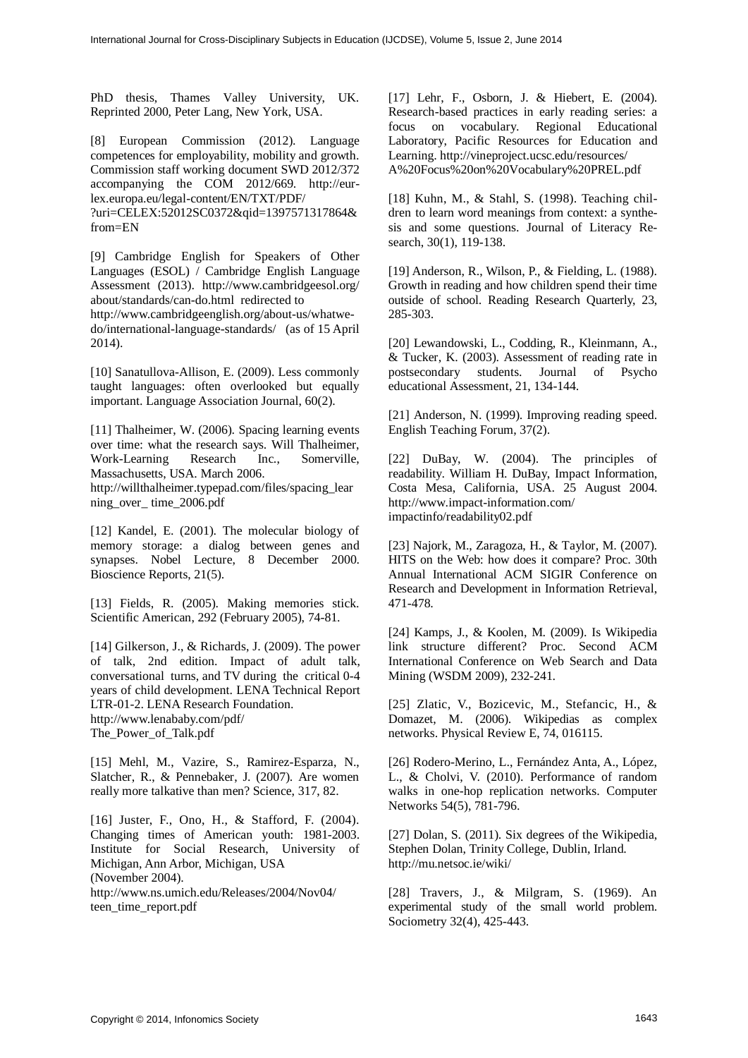PhD thesis, Thames Valley University, UK. Reprinted 2000, Peter Lang, New York, USA.

[8] European Commission (2012). Language competences for employability, mobility and growth. Commission staff working document SWD 2012/372 accompanying the COM 2012/669. http://eurlex.europa.eu/legal-content/EN/TXT/PDF/

?uri=CELEX:52012SC0372&qid=1397571317864& from=EN

[9] Cambridge English for Speakers of Other Languages (ESOL) / Cambridge English Language Assessment (2013). http://www.cambridgeesol.org/ about/standards/can-do.html redirected to

http://www.cambridgeenglish.org/about-us/whatwedo/international-language-standards/ (as of 15 April 2014).

[10] Sanatullova-Allison, E. (2009). Less commonly taught languages: often overlooked but equally important. Language Association Journal, 60(2).

[11] Thalheimer, W. (2006). Spacing learning events over time: what the research says. Will Thalheimer, Work-Learning Research Inc., Somerville, Massachusetts, USA. March 2006.

http://willthalheimer.typepad.com/files/spacing\_lear ning\_over\_ time\_2006.pdf

[12] Kandel, E. (2001). The molecular biology of memory storage: a dialog between genes and synapses. Nobel Lecture, 8 December 2000. Bioscience Reports, 21(5).

[13] Fields, R. (2005). Making memories stick. Scientific American, 292 (February 2005), 74-81.

[14] Gilkerson, J., & Richards, J. (2009). The power of talk, 2nd edition. Impact of adult talk, conversational turns, and TV during the critical 0-4 years of child development. LENA Technical Report LTR-01-2. LENA Research Foundation. http://www.lenababy.com/pdf/ The\_Power\_of\_Talk.pdf

[15] Mehl, M., Vazire, S., Ramirez-Esparza, N., Slatcher, R., & Pennebaker, J. (2007). Are women really more talkative than men? Science, 317, 82.

[16] Juster, F., Ono, H., & Stafford, F. (2004). Changing times of American youth: 1981-2003. Institute for Social Research, University of Michigan, Ann Arbor, Michigan, USA (November 2004). http://www.ns.umich.edu/Releases/2004/Nov04/ teen\_time\_report.pdf

[17] Lehr, F., Osborn, J. & Hiebert, E. (2004). Research-based practices in early reading series: a focus on vocabulary. Regional Educational Laboratory, Pacific Resources for Education and Learning. http://vineproject.ucsc.edu/resources/ A%20Focus%20on%20Vocabulary%20PREL.pdf

[18] Kuhn, M., & Stahl, S. (1998). Teaching children to learn word meanings from context: a synthesis and some questions. Journal of Literacy Research, 30(1), 119-138.

[19] Anderson, R., Wilson, P., & Fielding, L. (1988). Growth in reading and how children spend their time outside of school. Reading Research Quarterly, 23, 285-303.

[20] Lewandowski, L., Codding, R., Kleinmann, A., & Tucker, K. (2003). Assessment of reading rate in postsecondary students. Journal of Psycho educational Assessment, 21, 134-144.

[21] Anderson, N. (1999). Improving reading speed. English Teaching Forum, 37(2).

[22] DuBay, W. (2004). The principles of readability. William H. DuBay, Impact Information, Costa Mesa, California, USA. 25 August 2004. http://www.impact-information.com/ impactinfo/readability02.pdf

[23] Najork, M., Zaragoza, H., & Taylor, M. (2007). HITS on the Web: how does it compare? Proc. 30th Annual International ACM SIGIR Conference on Research and Development in Information Retrieval, 471-478.

[24] Kamps, J., & Koolen, M. (2009). Is Wikipedia link structure different? Proc. Second ACM International Conference on Web Search and Data Mining (WSDM 2009), 232-241.

[25] Zlatic, V., Bozicevic, M., Stefancic, H., & Domazet, M. (2006). Wikipedias as complex networks. Physical Review E, 74, 016115.

[26] Rodero-Merino, L., Fernández Anta, A., López, L., & Cholvi, V. (2010). Performance of random walks in one-hop replication networks. Computer Networks 54(5), 781-796.

[27] Dolan, S. (2011). Six degrees of the Wikipedia, Stephen Dolan, Trinity College, Dublin, Irland. http://mu.netsoc.ie/wiki/

[28] Travers, J., & Milgram, S. (1969). An experimental study of the small world problem. Sociometry 32(4), 425-443.